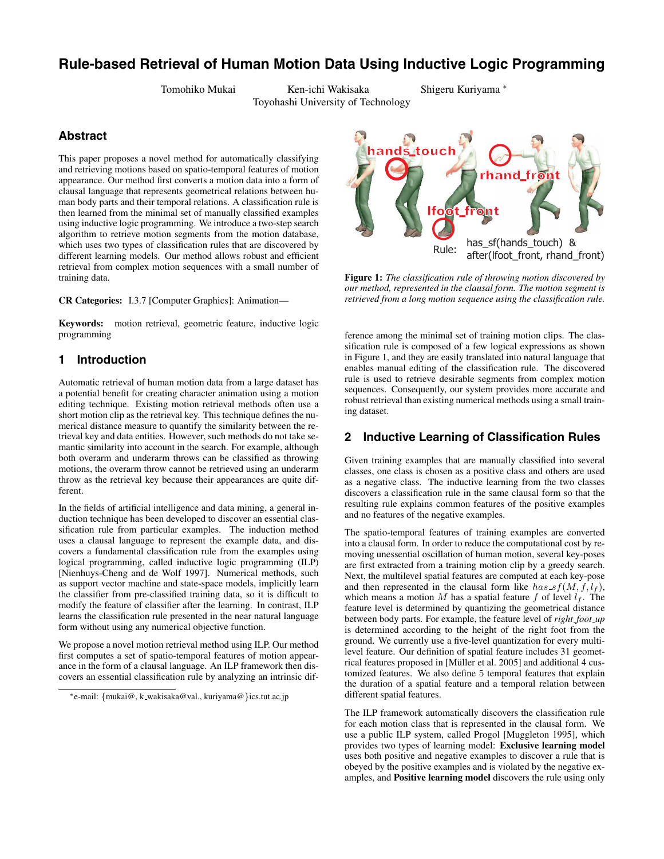# **Rule-based Retrieval of Human Motion Data Using Inductive Logic Programming**

Tomohiko Mukai Ken-ichi Wakisaka Shigeru Kuriyama ∗ Toyohashi University of Technology

### **Abstract**

This paper proposes a novel method for automatically classifying and retrieving motions based on spatio-temporal features of motion appearance. Our method first converts a motion data into a form of clausal language that represents geometrical relations between human body parts and their temporal relations. A classification rule is then learned from the minimal set of manually classified examples using inductive logic programming. We introduce a two-step search algorithm to retrieve motion segments from the motion database, which uses two types of classification rules that are discovered by different learning models. Our method allows robust and efficient retrieval from complex motion sequences with a small number of training data.

**CR Categories:** I.3.7 [Computer Graphics]: Animation—

**Keywords:** motion retrieval, geometric feature, inductive logic programming

### **1 Introduction**

Automatic retrieval of human motion data from a large dataset has a potential benefit for creating character animation using a motion editing technique. Existing motion retrieval methods often use a short motion clip as the retrieval key. This technique defines the numerical distance measure to quantify the similarity between the retrieval key and data entities. However, such methods do not take semantic similarity into account in the search. For example, although both overarm and underarm throws can be classified as throwing motions, the overarm throw cannot be retrieved using an underarm throw as the retrieval key because their appearances are quite different.

In the fields of artificial intelligence and data mining, a general induction technique has been developed to discover an essential classification rule from particular examples. The induction method uses a clausal language to represent the example data, and discovers a fundamental classification rule from the examples using logical programming, called inductive logic programming (ILP) [Nienhuys-Cheng and de Wolf 1997]. Numerical methods, such as support vector machine and state-space models, implicitly learn the classifier from pre-classified training data, so it is difficult to modify the feature of classifier after the learning. In contrast, ILP learns the classification rule presented in the near natural language form without using any numerical objective function.

We propose a novel motion retrieval method using ILP. Our method first computes a set of spatio-temporal features of motion appearance in the form of a clausal language. An ILP framework then discovers an essential classification rule by analyzing an intrinsic dif-



**Figure 1:** *The classification rule of throwing motion discovered by our method, represented in the clausal form. The motion segment is retrieved from a long motion sequence using the classification rule.*

ference among the minimal set of training motion clips. The classification rule is composed of a few logical expressions as shown in Figure 1, and they are easily translated into natural language that enables manual editing of the classification rule. The discovered rule is used to retrieve desirable segments from complex motion sequences. Consequently, our system provides more accurate and robust retrieval than existing numerical methods using a small training dataset.

### **2 Inductive Learning of Classification Rules**

Given training examples that are manually classified into several classes, one class is chosen as a positive class and others are used as a negative class. The inductive learning from the two classes discovers a classification rule in the same clausal form so that the resulting rule explains common features of the positive examples and no features of the negative examples.

The spatio-temporal features of training examples are converted into a clausal form. In order to reduce the computational cost by removing unessential oscillation of human motion, several key-poses are first extracted from a training motion clip by a greedy search. Next, the multilevel spatial features are computed at each key-pose and then represented in the clausal form like  $has\_sf(M, f, l_f)$ , which means a motion *M* has a spatial feature *f* of level  $l_f$ . The feature level is determined by quantizing the geometrical distance between body parts. For example, the feature level of *right foot up* is determined according to the height of the right foot from the ground. We currently use a five-level quantization for every multilevel feature. Our definition of spatial feature includes 31 geometrical features proposed in [Müller et al. 2005] and additional 4 customized features. We also define 5 temporal features that explain the duration of a spatial feature and a temporal relation between different spatial features.

The ILP framework automatically discovers the classification rule for each motion class that is represented in the clausal form. We use a public ILP system, called Progol [Muggleton 1995], which provides two types of learning model: **Exclusive learning model** uses both positive and negative examples to discover a rule that is obeyed by the positive examples and is violated by the negative examples, and **Positive learning model** discovers the rule using only

<sup>∗</sup>e-mail: *{*mukai@, k wakisaka@val., kuriyama@*}*ics.tut.ac.jp